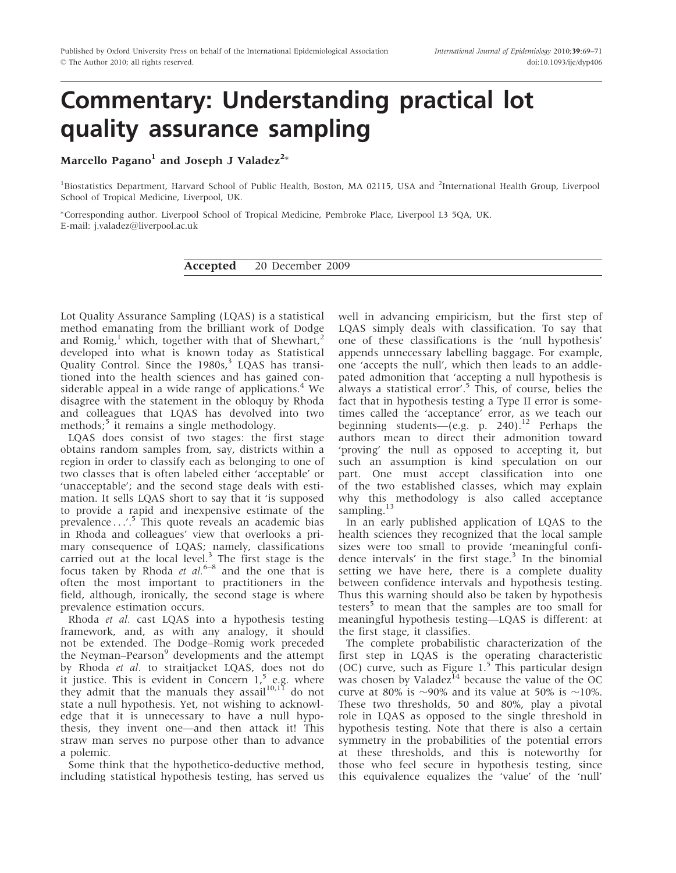## Commentary: Understanding practical lot quality assurance sampling

Marcello Pagano $^{\rm l}$  and Joseph J Valadez $^{\rm 2*}$ 

<sup>1</sup>Biostatistics Department, Harvard School of Public Health, Boston, MA 02115, USA and <sup>2</sup>International Health Group, Liverpool School of Tropical Medicine, Liverpool, UK.

-Corresponding author. Liverpool School of Tropical Medicine, Pembroke Place, Liverpool L3 5QA, UK. E-mail: j.valadez@liverpool.ac.uk

Accepted 20 December 2009

Lot Quality Assurance Sampling (LQAS) is a statistical method emanating from the brilliant work of Dodge and Romig,<sup>1</sup> which, together with that of Shewhart,<sup>2</sup> developed into what is known today as Statistical Quality Control. Since the  $1980s$ ,<sup>3</sup> LQAS has transitioned into the health sciences and has gained considerable appeal in a wide range of applications. $4$  We disagree with the statement in the obloquy by Rhoda and colleagues that LQAS has devolved into two methods;<sup>5</sup> it remains a single methodology.

LQAS does consist of two stages: the first stage obtains random samples from, say, districts within a region in order to classify each as belonging to one of two classes that is often labeled either 'acceptable' or 'unacceptable'; and the second stage deals with estimation. It sells LQAS short to say that it 'is supposed to provide a rapid and inexpensive estimate of the prevalence ...'.<sup>5</sup> This quote reveals an academic bias in Rhoda and colleagues' view that overlooks a primary consequence of LQAS; namely, classifications carried out at the local level.<sup>3</sup> The first stage is the focus taken by Rhoda et  $al.^{6-8}$  and the one that is often the most important to practitioners in the field, although, ironically, the second stage is where prevalence estimation occurs.

Rhoda et al. cast LQAS into a hypothesis testing framework, and, as with any analogy, it should not be extended. The Dodge–Romig work preceded the Neyman–Pearson<sup>9</sup> developments and the attempt by Rhoda et al. to straitjacket LQAS, does not do it justice. This is evident in Concern  $1<sup>5</sup>$  e.g. where they admit that the manuals they assail<sup>10,11</sup> do not state a null hypothesis. Yet, not wishing to acknowledge that it is unnecessary to have a null hypothesis, they invent one—and then attack it! This straw man serves no purpose other than to advance a polemic.

Some think that the hypothetico-deductive method, including statistical hypothesis testing, has served us well in advancing empiricism, but the first step of LQAS simply deals with classification. To say that one of these classifications is the 'null hypothesis' appends unnecessary labelling baggage. For example, one 'accepts the null', which then leads to an addlepated admonition that 'accepting a null hypothesis is always a statistical error'.5 This, of course, belies the fact that in hypothesis testing a Type II error is sometimes called the 'acceptance' error, as we teach our beginning students—(e.g. p. 240).<sup>12</sup> Perhaps the authors mean to direct their admonition toward 'proving' the null as opposed to accepting it, but such an assumption is kind speculation on our part. One must accept classification into one of the two established classes, which may explain why this methodology is also called acceptance sampling.<sup>13</sup>

In an early published application of LQAS to the health sciences they recognized that the local sample sizes were too small to provide 'meaningful confidence intervals' in the first stage.<sup>3</sup> In the binomial setting we have here, there is a complete duality between confidence intervals and hypothesis testing. Thus this warning should also be taken by hypothesis testers<sup>5</sup> to mean that the samples are too small for meaningful hypothesis testing—LQAS is different: at the first stage, it classifies.

The complete probabilistic characterization of the first step in LQAS is the operating characteristic (OC) curve, such as Figure  $1.5$  This particular design was chosen by Valadez<sup>14</sup> because the value of the  $OC$ curve at 80% is  $\sim$ 90% and its value at 50% is  $\sim$ 10%. These two thresholds, 50 and 80%, play a pivotal role in LQAS as opposed to the single threshold in hypothesis testing. Note that there is also a certain symmetry in the probabilities of the potential errors at these thresholds, and this is noteworthy for those who feel secure in hypothesis testing, since this equivalence equalizes the 'value' of the 'null'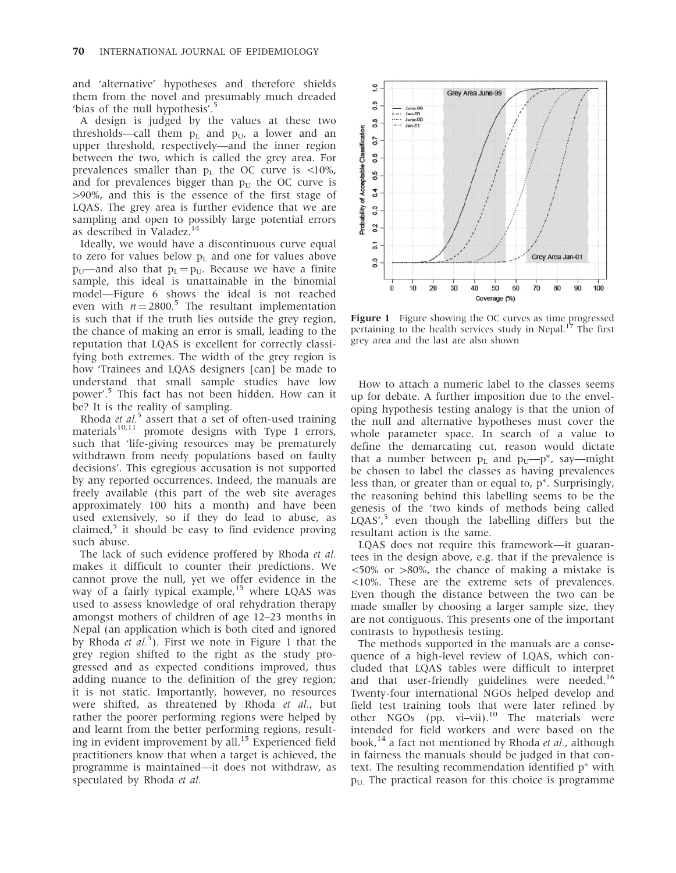and 'alternative' hypotheses and therefore shields them from the novel and presumably much dreaded 'bias of the null hypothesis'.<sup>5</sup>

A design is judged by the values at these two thresholds—call them  $p_L$  and  $p_U$ , a lower and an upper threshold, respectively—and the inner region between the two, which is called the grey area. For prevalences smaller than  $p_L$  the OC curve is <10%, and for prevalences bigger than  $p_{U}$  the OC curve is  $>90\%$ , and this is the essence of the first stage of LQAS. The grey area is further evidence that we are sampling and open to possibly large potential errors as described in Valadez.<sup>14</sup>

Ideally, we would have a discontinuous curve equal to zero for values below  $p_L$  and one for values above  $p_U$ —and also that  $p_L = p_U$ . Because we have a finite sample, this ideal is unattainable in the binomial model—Figure 6 shows the ideal is not reached even with  $n = 2800$ .<sup>5</sup> The resultant implementation is such that if the truth lies outside the grey region, the chance of making an error is small, leading to the reputation that LQAS is excellent for correctly classifying both extremes. The width of the grey region is how 'Trainees and LQAS designers [can] be made to understand that small sample studies have low power'.<sup>5</sup> This fact has not been hidden. How can it be? It is the reality of sampling.

Rhoda et  $al$ <sup>5</sup> assert that a set of often-used training materials<sup>10,11</sup> promote designs with Type I errors, such that 'life-giving resources may be prematurely withdrawn from needy populations based on faulty decisions'. This egregious accusation is not supported by any reported occurrences. Indeed, the manuals are freely available (this part of the web site averages approximately 100 hits a month) and have been used extensively, so if they do lead to abuse, as claimed, $5$  it should be easy to find evidence proving such abuse.

The lack of such evidence proffered by Rhoda et al. makes it difficult to counter their predictions. We cannot prove the null, yet we offer evidence in the way of a fairly typical example,<sup>15</sup> where LQAS was used to assess knowledge of oral rehydration therapy amongst mothers of children of age 12–23 months in Nepal (an application which is both cited and ignored by Rhoda et  $aL^5$ ). First we note in Figure 1 that the grey region shifted to the right as the study progressed and as expected conditions improved, thus adding nuance to the definition of the grey region; it is not static. Importantly, however, no resources were shifted, as threatened by Rhoda et al., but rather the poorer performing regions were helped by and learnt from the better performing regions, resulting in evident improvement by all.<sup>15</sup> Experienced field practitioners know that when a target is achieved, the programme is maintained—it does not withdraw, as speculated by Rhoda et al.



Figure 1 Figure showing the OC curves as time progressed pertaining to the health services study in Nepal.<sup>17</sup> The first grey area and the last are also shown

How to attach a numeric label to the classes seems up for debate. A further imposition due to the enveloping hypothesis testing analogy is that the union of the null and alternative hypotheses must cover the whole parameter space. In search of a value to define the demarcating cut, reason would dictate that a number between  $p_L$  and  $p_U$ — $p^*$ , say—might be chosen to label the classes as having prevalences less than, or greater than or equal to,  $p^*$ . Surprisingly, the reasoning behind this labelling seems to be the genesis of the 'two kinds of methods being called  $LQAS'$ ,<sup>5</sup> even though the labelling differs but the resultant action is the same.

LQAS does not require this framework—it guarantees in the design above, e.g. that if the prevalence is  $\langle 50\% \text{ or } >80\% \rangle$ , the chance of making a mistake is <10%. These are the extreme sets of prevalences. Even though the distance between the two can be made smaller by choosing a larger sample size, they are not contiguous. This presents one of the important contrasts to hypothesis testing.

The methods supported in the manuals are a consequence of a high-level review of LQAS, which concluded that LQAS tables were difficult to interpret and that user-friendly guidelines were needed.<sup>16</sup> Twenty-four international NGOs helped develop and field test training tools that were later refined by other NGOs (pp. vi–vii).<sup>10</sup> The materials were intended for field workers and were based on the book,<sup>14</sup> a fact not mentioned by Rhoda *et al.*, although in fairness the manuals should be judged in that context. The resulting recommendation identified  $p^*$  with  $p_U$ . The practical reason for this choice is programme